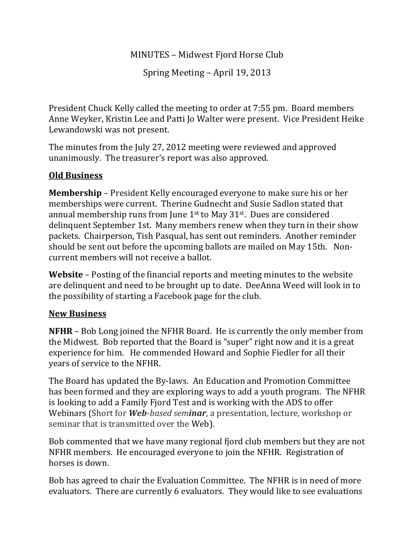## MINUTES – Midwest Fjord Horse Club

Spring Meeting – April 19, 2013

President Chuck Kelly called the meeting to order at 7:55 pm. Board members Anne Weyker, Kristin Lee and Patti Jo Walter were present. Vice President Heike Lewandowski was not present.

The minutes from the July 27, 2012 meeting were reviewed and approved unanimously. The treasurer's report was also approved.

## **Old Business**

**Membership** – President Kelly encouraged everyone to make sure his or her memberships were current. Therine Gudnecht and Susie Sadlon stated that annual membership runs from June  $1<sup>st</sup>$  to May  $31<sup>st</sup>$ . Dues are considered delinquent September 1st. Many members renew when they turn in their show packets. Chairperson, Tish Pasqual, has sent out reminders. Another reminder should be sent out before the upcoming ballots are mailed on May 15th. Non‐ current members will not receive a ballot.

**Website** – Posting of the financial reports and meeting minutes to the website are delinquent and need to be brought up to date. DeeAnna Weed will look in to the possibility of starting a Facebook page for the club.

## **New Business**

**NFHR** – Bob Long joined the NFHR Board. He is currently the only member from the Midwest. Bob reported that the Board is "super" right now and it is a great experience for him. He commended Howard and Sophie Fiedler for all their years of service to the NFHR.

The Board has updated the By‐laws. An Education and Promotion Committee has been formed and they are exploring ways to add a youth program. The NFHR is looking to add a Family Fjord Test and is working with the ADS to offer Webinars (Short for *Webbased seminar*, a presentation, lecture, workshop or seminar that is transmitted over the Web).

Bob commented that we have many regional fjord club members but they are not NFHR members. He encouraged everyone to join the NFHR. Registration of horses is down.

Bob has agreed to chair the Evaluation Committee. The NFHR is in need of more evaluators. There are currently 6 evaluators. They would like to see evaluations